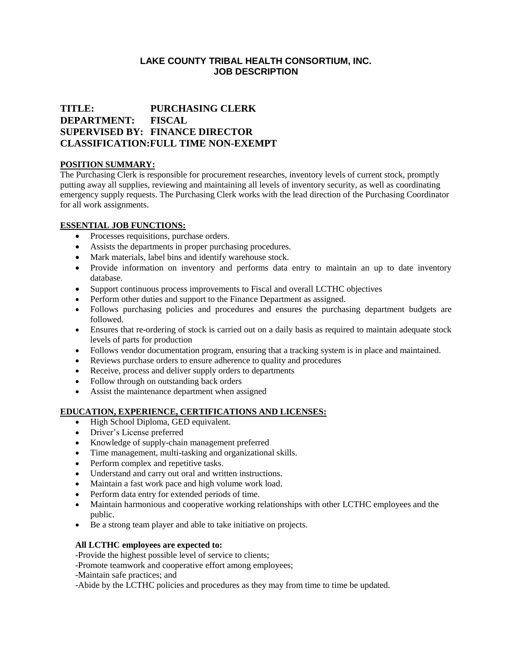## **LAKE COUNTY TRIBAL HEALTH CONSORTIUM, INC. JOB DESCRIPTION**

# **TITLE: PURCHASING CLERK DEPARTMENT: FISCAL SUPERVISED BY: FINANCE DIRECTOR CLASSIFICATION:FULL TIME NON-EXEMPT**

## **POSITION SUMMARY:**

The Purchasing Clerk is responsible for procurement researches, inventory levels of current stock, promptly putting away all supplies, reviewing and maintaining all levels of inventory security, as well as coordinating emergency supply requests. The Purchasing Clerk works with the lead direction of the Purchasing Coordinator for all work assignments.

### **ESSENTIAL JOB FUNCTIONS:**

- Processes requisitions, purchase orders.
- Assists the departments in proper purchasing procedures.
- Mark materials, label bins and identify warehouse stock.
- Provide information on inventory and performs data entry to maintain an up to date inventory database.
- Support continuous process improvements to Fiscal and overall LCTHC objectives
- Perform other duties and support to the Finance Department as assigned.
- Follows purchasing policies and procedures and ensures the purchasing department budgets are followed.
- Ensures that re-ordering of stock is carried out on a daily basis as required to maintain adequate stock levels of parts for production
- Follows vendor documentation program, ensuring that a tracking system is in place and maintained.
- Reviews purchase orders to ensure adherence to quality and procedures
- Receive, process and deliver supply orders to departments
- Follow through on outstanding back orders
- Assist the maintenance department when assigned

### **EDUCATION, EXPERIENCE, CERTIFICATIONS AND LICENSES:**

- High School Diploma, GED equivalent.
- Driver's License preferred
- Knowledge of supply-chain management preferred
- Time management, multi-tasking and organizational skills.
- Perform complex and repetitive tasks.
- Understand and carry out oral and written instructions.
- Maintain a fast work pace and high volume work load.
- Perform data entry for extended periods of time.
- Maintain harmonious and cooperative working relationships with other LCTHC employees and the public.
- Be a strong team player and able to take initiative on projects.

### **All LCTHC employees are expected to:**

-Provide the highest possible level of service to clients;

-Promote teamwork and cooperative effort among employees;

-Maintain safe practices; and

-Abide by the LCTHC policies and procedures as they may from time to time be updated.